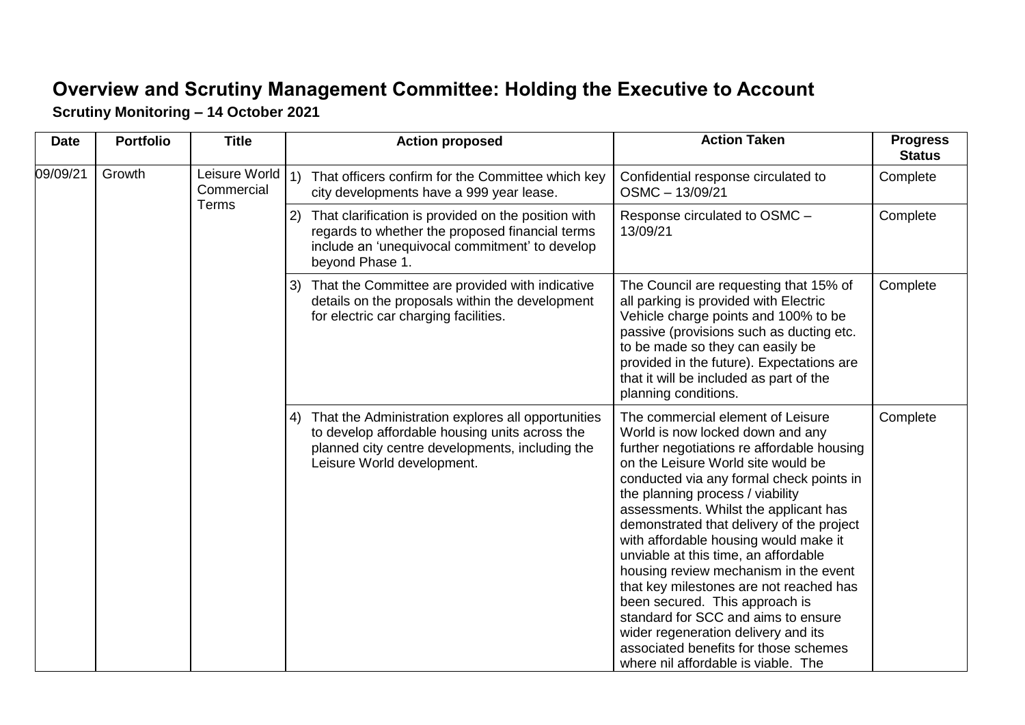## **Overview and Scrutiny Management Committee: Holding the Executive to Account Scrutiny Monitoring – 14 October 2021**

| <b>Date</b> | <b>Portfolio</b> | <b>Title</b>                         |                                                | <b>Action proposed</b>                                                                                                                                                                   | <b>Action Taken</b>                                                                                                                                                                                                                                                                                                                                                                                                                                                                                                                                                                                                                                                                                  | <b>Progress</b><br><b>Status</b> |
|-------------|------------------|--------------------------------------|------------------------------------------------|------------------------------------------------------------------------------------------------------------------------------------------------------------------------------------------|------------------------------------------------------------------------------------------------------------------------------------------------------------------------------------------------------------------------------------------------------------------------------------------------------------------------------------------------------------------------------------------------------------------------------------------------------------------------------------------------------------------------------------------------------------------------------------------------------------------------------------------------------------------------------------------------------|----------------------------------|
| 09/09/21    | Growth           | Leisure World<br>Commercial<br>Terms | $\left( \begin{matrix} 1 \end{matrix} \right)$ | That officers confirm for the Committee which key<br>city developments have a 999 year lease.                                                                                            | Confidential response circulated to<br>OSMC - 13/09/21                                                                                                                                                                                                                                                                                                                                                                                                                                                                                                                                                                                                                                               | Complete                         |
|             |                  |                                      | 2)                                             | That clarification is provided on the position with<br>regards to whether the proposed financial terms<br>include an 'unequivocal commitment' to develop<br>beyond Phase 1.              | Response circulated to OSMC -<br>13/09/21                                                                                                                                                                                                                                                                                                                                                                                                                                                                                                                                                                                                                                                            | Complete                         |
|             |                  |                                      | 3)                                             | That the Committee are provided with indicative<br>details on the proposals within the development<br>for electric car charging facilities.                                              | The Council are requesting that 15% of<br>all parking is provided with Electric<br>Vehicle charge points and 100% to be<br>passive (provisions such as ducting etc.<br>to be made so they can easily be<br>provided in the future). Expectations are<br>that it will be included as part of the<br>planning conditions.                                                                                                                                                                                                                                                                                                                                                                              | Complete                         |
|             |                  |                                      |                                                | 4) That the Administration explores all opportunities<br>to develop affordable housing units across the<br>planned city centre developments, including the<br>Leisure World development. | The commercial element of Leisure<br>World is now locked down and any<br>further negotiations re affordable housing<br>on the Leisure World site would be<br>conducted via any formal check points in<br>the planning process / viability<br>assessments. Whilst the applicant has<br>demonstrated that delivery of the project<br>with affordable housing would make it<br>unviable at this time, an affordable<br>housing review mechanism in the event<br>that key milestones are not reached has<br>been secured. This approach is<br>standard for SCC and aims to ensure<br>wider regeneration delivery and its<br>associated benefits for those schemes<br>where nil affordable is viable. The | Complete                         |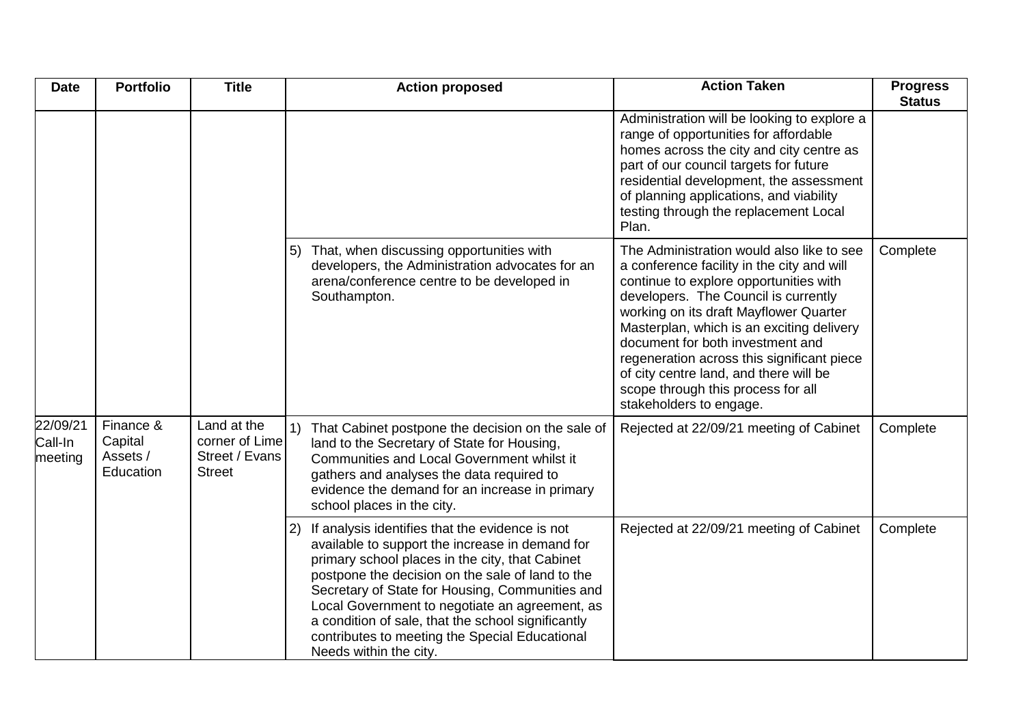| <b>Date</b>                    | <b>Portfolio</b>                              | <b>Title</b>                                                     |                                        | <b>Action proposed</b>                                                                                                                                                                                                                                                                                                                                                                                                 | <b>Action Taken</b>                                                                                                                                                                                                                                                                                                                                                                                                                                           | <b>Progress</b><br><b>Status</b> |
|--------------------------------|-----------------------------------------------|------------------------------------------------------------------|----------------------------------------|------------------------------------------------------------------------------------------------------------------------------------------------------------------------------------------------------------------------------------------------------------------------------------------------------------------------------------------------------------------------------------------------------------------------|---------------------------------------------------------------------------------------------------------------------------------------------------------------------------------------------------------------------------------------------------------------------------------------------------------------------------------------------------------------------------------------------------------------------------------------------------------------|----------------------------------|
|                                |                                               |                                                                  |                                        |                                                                                                                                                                                                                                                                                                                                                                                                                        | Administration will be looking to explore a<br>range of opportunities for affordable<br>homes across the city and city centre as<br>part of our council targets for future<br>residential development, the assessment<br>of planning applications, and viability<br>testing through the replacement Local<br>Plan.                                                                                                                                            |                                  |
|                                |                                               |                                                                  | 5)<br>Southampton.                     | That, when discussing opportunities with<br>developers, the Administration advocates for an<br>arena/conference centre to be developed in                                                                                                                                                                                                                                                                              | The Administration would also like to see<br>a conference facility in the city and will<br>continue to explore opportunities with<br>developers. The Council is currently<br>working on its draft Mayflower Quarter<br>Masterplan, which is an exciting delivery<br>document for both investment and<br>regeneration across this significant piece<br>of city centre land, and there will be<br>scope through this process for all<br>stakeholders to engage. | Complete                         |
| 22/09/21<br>Call-In<br>meeting | Finance &<br>Capital<br>Assets /<br>Education | Land at the<br>corner of Lime<br>Street / Evans<br><b>Street</b> | school places in the city.             | That Cabinet postpone the decision on the sale of<br>land to the Secretary of State for Housing,<br>Communities and Local Government whilst it<br>gathers and analyses the data required to<br>evidence the demand for an increase in primary                                                                                                                                                                          | Rejected at 22/09/21 meeting of Cabinet                                                                                                                                                                                                                                                                                                                                                                                                                       | Complete                         |
|                                |                                               |                                                                  | $\mathbf{2}$<br>Needs within the city. | If analysis identifies that the evidence is not<br>available to support the increase in demand for<br>primary school places in the city, that Cabinet<br>postpone the decision on the sale of land to the<br>Secretary of State for Housing, Communities and<br>Local Government to negotiate an agreement, as<br>a condition of sale, that the school significantly<br>contributes to meeting the Special Educational | Rejected at 22/09/21 meeting of Cabinet                                                                                                                                                                                                                                                                                                                                                                                                                       | Complete                         |